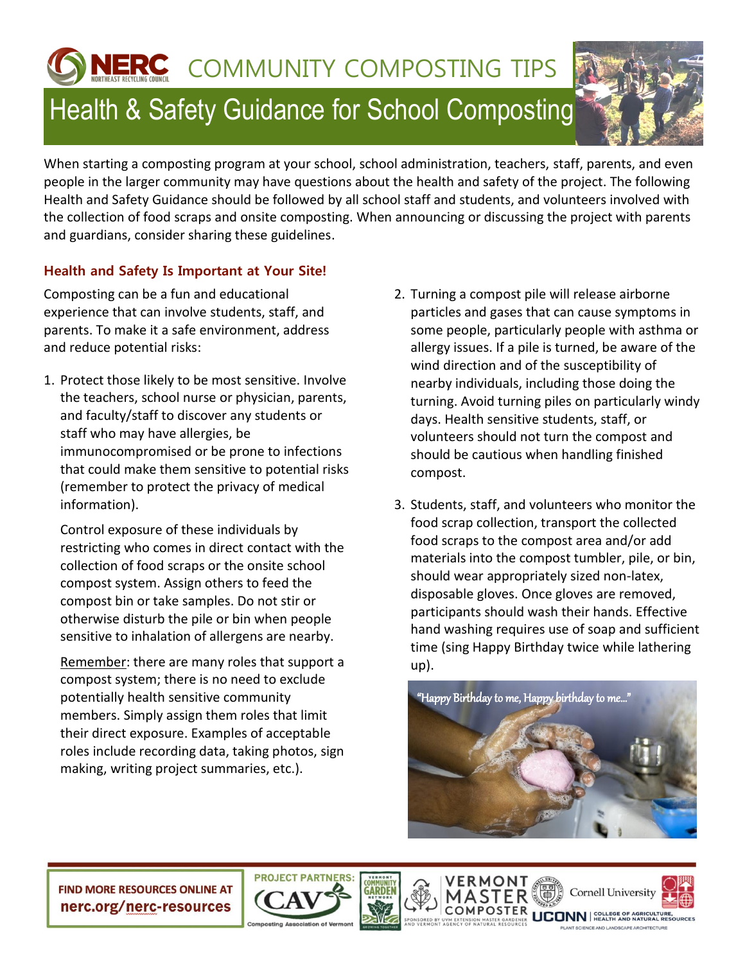**JERC** COMMUNITY COMPOSTING TIPS

## Health & Safety Guidance for School Composting

When starting a composting program at your school, school administration, teachers, staff, parents, and even people in the larger community may have questions about the health and safety of the project. The following Health and Safety Guidance should be followed by all school staff and students, and volunteers involved with the collection of food scraps and onsite composting. When announcing or discussing the project with parents and guardians, consider sharing these guidelines.

## **Health and Safety Is Important at Your Site!**

Composting can be a fun and educational experience that can involve students, staff, and parents. To make it a safe environment, address and reduce potential risks:

1. Protect those likely to be most sensitive. Involve the teachers, school nurse or physician, parents, and faculty/staff to discover any students or staff who may have allergies, be immunocompromised or be prone to infections that could make them sensitive to potential risks (remember to protect the privacy of medical information).

Control exposure of these individuals by restricting who comes in direct contact with the collection of food scraps or the onsite school compost system. Assign others to feed the compost bin or take samples. Do not stir or otherwise disturb the pile or bin when people sensitive to inhalation of allergens are nearby.

Remember: there are many roles that support a compost system; there is no need to exclude potentially health sensitive community members. Simply assign them roles that limit their direct exposure. Examples of acceptable roles include recording data, taking photos, sign making, writing project summaries, etc.).

- 2. Turning a compost pile will release airborne particles and gases that can cause symptoms in some people, particularly people with asthma or allergy issues. If a pile is turned, be aware of the wind direction and of the susceptibility of nearby individuals, including those doing the turning. Avoid turning piles on particularly windy days. Health sensitive students, staff, or volunteers should not turn the compost and should be cautious when handling finished compost.
- 3. Students, staff, and volunteers who monitor the food scrap collection, transport the collected food scraps to the compost area and/or add materials into the compost tumbler, pile, or bin, should wear appropriately sized non-latex, disposable gloves. Once gloves are removed, participants should wash their hands. Effective hand washing requires use of soap and sufficient time (sing Happy Birthday twice while lathering up).



**FIND MORE RESOURCES ONLINE AT** nerc.org/nerc-resources



VERMONT